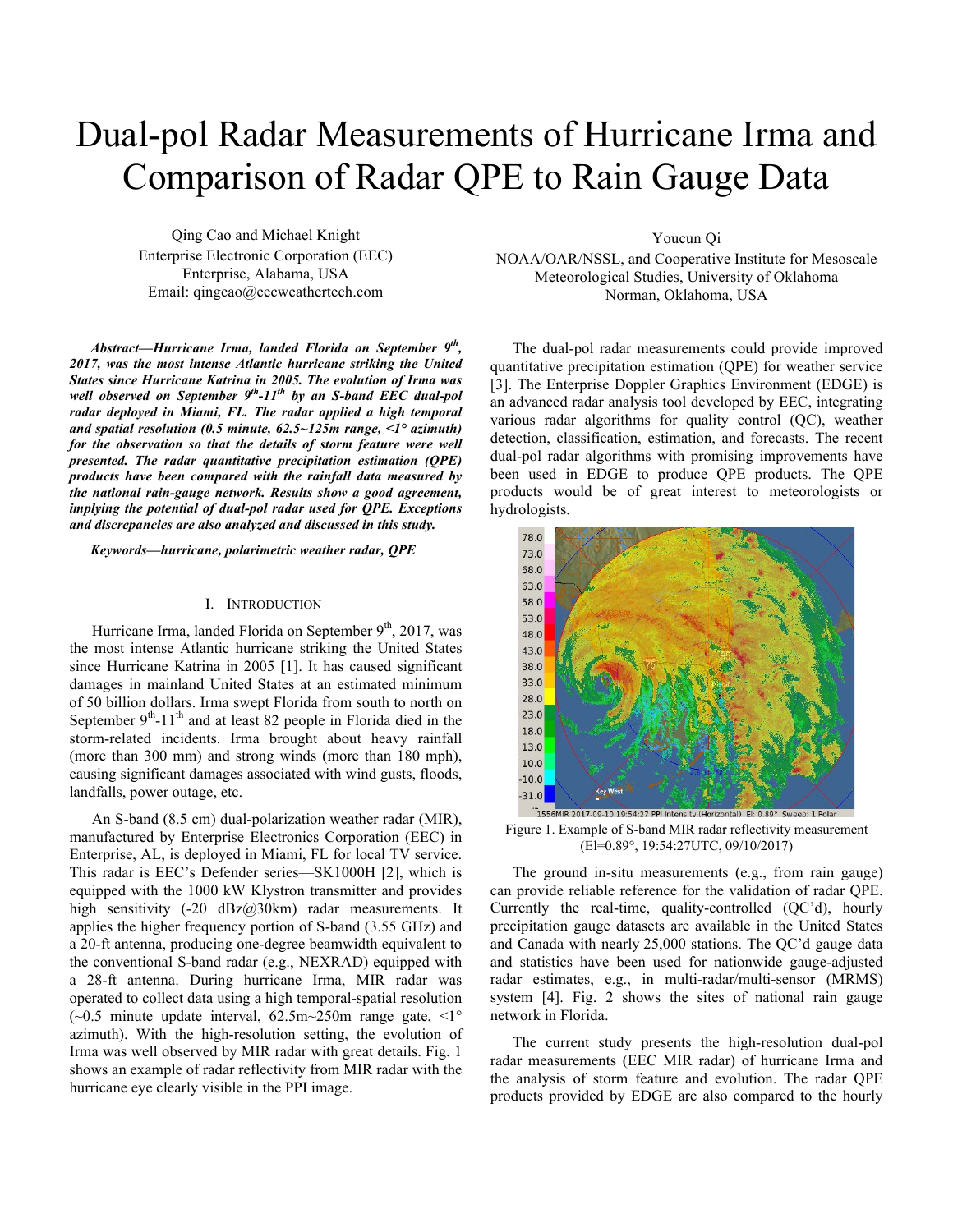# Dual-pol Radar Measurements of Hurricane Irma and Comparison of Radar QPE to Rain Gauge Data

Qing Cao and Michael Knight Enterprise Electronic Corporation (EEC) Enterprise, Alabama, USA Email: qingcao@eecweathertech.com

*Abstract—Hurricane Irma, landed Florida on September 9th, 2017, was the most intense Atlantic hurricane striking the United States since Hurricane Katrina in 2005. The evolution of Irma was well observed on September 9th-11th by an S-band EEC dual-pol radar deployed in Miami, FL. The radar applied a high temporal and spatial resolution (0.5 minute, 62.5~125m range, <1° azimuth) for the observation so that the details of storm feature were well presented. The radar quantitative precipitation estimation (QPE) products have been compared with the rainfall data measured by the national rain-gauge network. Results show a good agreement, implying the potential of dual-pol radar used for QPE. Exceptions and discrepancies are also analyzed and discussed in this study.* 

*Keywords—hurricane, polarimetric weather radar, QPE*

## I. INTRODUCTION

Hurricane Irma, landed Florida on September  $9<sup>th</sup>$ , 2017, was the most intense Atlantic hurricane striking the United States since Hurricane Katrina in 2005 [1]. It has caused significant damages in mainland United States at an estimated minimum of 50 billion dollars. Irma swept Florida from south to north on September  $9<sup>th</sup>$ -11<sup>th</sup> and at least 82 people in Florida died in the storm-related incidents. Irma brought about heavy rainfall (more than 300 mm) and strong winds (more than 180 mph), causing significant damages associated with wind gusts, floods, landfalls, power outage, etc.

An S-band (8.5 cm) dual-polarization weather radar (MIR), manufactured by Enterprise Electronics Corporation (EEC) in Enterprise, AL, is deployed in Miami, FL for local TV service. This radar is EEC's Defender series—SK1000H [2], which is equipped with the 1000 kW Klystron transmitter and provides high sensitivity (-20 dBz@30km) radar measurements. It applies the higher frequency portion of S-band (3.55 GHz) and a 20-ft antenna, producing one-degree beamwidth equivalent to the conventional S-band radar (e.g., NEXRAD) equipped with a 28-ft antenna. During hurricane Irma, MIR radar was operated to collect data using a high temporal-spatial resolution ( $\sim$ 0.5 minute update interval, 62.5m $\sim$ 250m range gate,  $\leq$ 1° azimuth). With the high-resolution setting, the evolution of Irma was well observed by MIR radar with great details. Fig. 1 shows an example of radar reflectivity from MIR radar with the hurricane eye clearly visible in the PPI image.

Youcun Qi

NOAA/OAR/NSSL, and Cooperative Institute for Mesoscale Meteorological Studies, University of Oklahoma Norman, Oklahoma, USA

The dual-pol radar measurements could provide improved quantitative precipitation estimation (QPE) for weather service [3]. The Enterprise Doppler Graphics Environment (EDGE) is an advanced radar analysis tool developed by EEC, integrating various radar algorithms for quality control (QC), weather detection, classification, estimation, and forecasts. The recent dual-pol radar algorithms with promising improvements have been used in EDGE to produce QPE products. The QPE products would be of great interest to meteorologists or hydrologists.



Figure 1. Example of S-band MIR radar reflectivity measurement (El=0.89°, 19:54:27UTC, 09/10/2017)

The ground in-situ measurements (e.g., from rain gauge) can provide reliable reference for the validation of radar QPE. Currently the real-time, quality-controlled (QC'd), hourly precipitation gauge datasets are available in the United States and Canada with nearly 25,000 stations. The QC'd gauge data and statistics have been used for nationwide gauge-adjusted radar estimates, e.g., in multi-radar/multi-sensor (MRMS) system [4]. Fig. 2 shows the sites of national rain gauge network in Florida.

The current study presents the high-resolution dual-pol radar measurements (EEC MIR radar) of hurricane Irma and the analysis of storm feature and evolution. The radar QPE products provided by EDGE are also compared to the hourly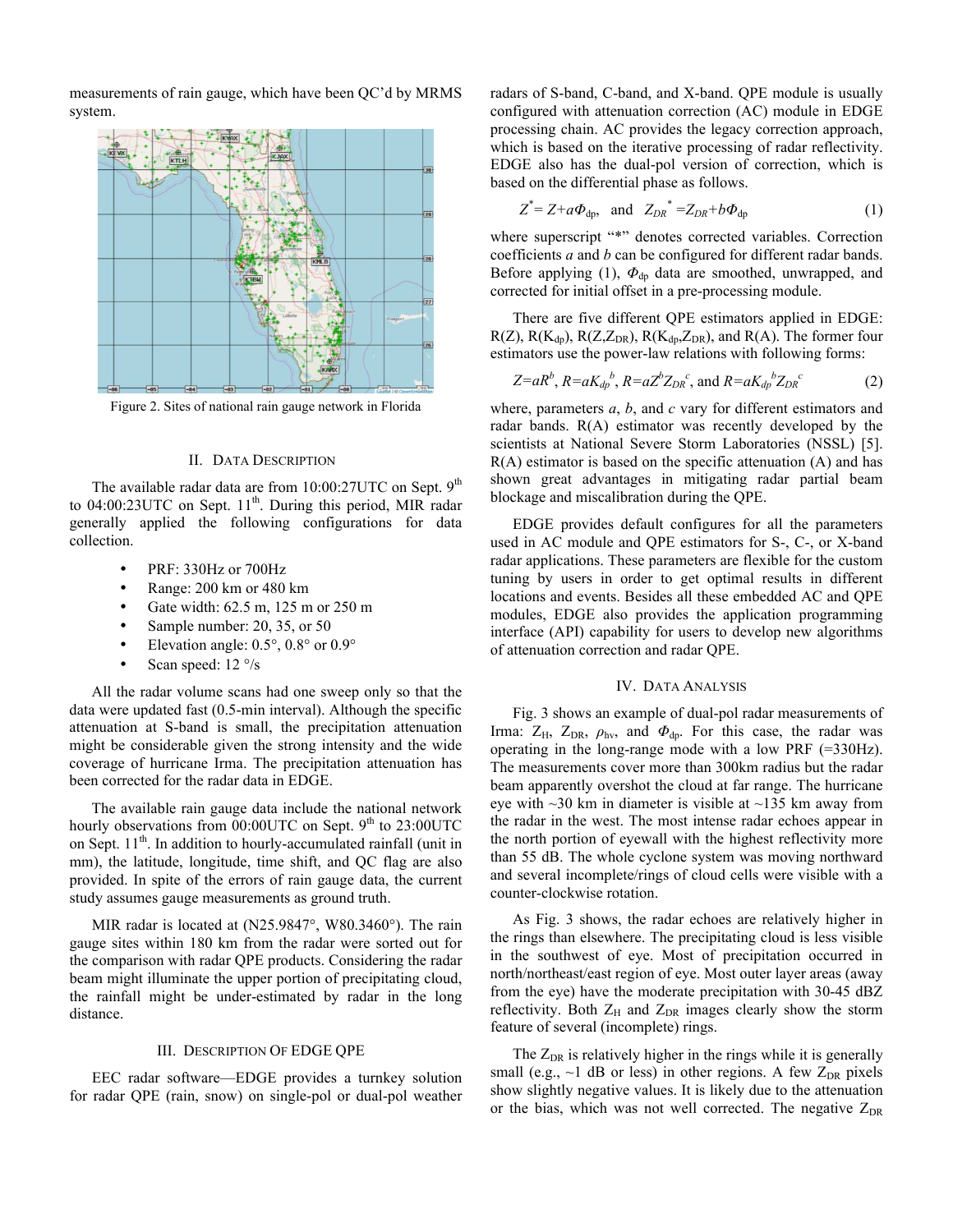measurements of rain gauge, which have been QC'd by MRMS system.



Figure 2. Sites of national rain gauge network in Florida

# II. DATA DESCRIPTION

The available radar data are from  $10:00:27$ UTC on Sept.  $9<sup>th</sup>$ to  $04:00:23$ UTC on Sept.  $11<sup>th</sup>$ . During this period, MIR radar generally applied the following configurations for data collection.

- PRF: 330Hz or 700Hz
- Range: 200 km or 480 km
- Gate width: 62.5 m, 125 m or 250 m
- Sample number: 20, 35, or 50
- Elevation angle:  $0.5^\circ$ ,  $0.8^\circ$  or  $0.9^\circ$
- Scan speed:  $12 \degree$ /s

All the radar volume scans had one sweep only so that the data were updated fast (0.5-min interval). Although the specific attenuation at S-band is small, the precipitation attenuation might be considerable given the strong intensity and the wide coverage of hurricane Irma. The precipitation attenuation has been corrected for the radar data in EDGE.

The available rain gauge data include the national network hourly observations from  $00:00$ UTC on Sept.  $9<sup>th</sup>$  to 23:00UTC on Sept.  $11<sup>th</sup>$ . In addition to hourly-accumulated rainfall (unit in mm), the latitude, longitude, time shift, and QC flag are also provided. In spite of the errors of rain gauge data, the current study assumes gauge measurements as ground truth.

MIR radar is located at (N25.9847°, W80.3460°). The rain gauge sites within 180 km from the radar were sorted out for the comparison with radar QPE products. Considering the radar beam might illuminate the upper portion of precipitating cloud, the rainfall might be under-estimated by radar in the long distance.

# III. DESCRIPTION OF EDGE QPE

EEC radar software—EDGE provides a turnkey solution for radar QPE (rain, snow) on single-pol or dual-pol weather radars of S-band, C-band, and X-band. QPE module is usually configured with attenuation correction (AC) module in EDGE processing chain. AC provides the legacy correction approach, which is based on the iterative processing of radar reflectivity. EDGE also has the dual-pol version of correction, which is based on the differential phase as follows.

$$
Z^* = Z + a\Phi_{dp}, \text{ and } Z_{DR}^* = Z_{DR} + b\Phi_{dp} \tag{1}
$$

where superscript "\*" denotes corrected variables. Correction coefficients *a* and *b* can be configured for different radar bands. Before applying (1),  $Φ_{dp}$  data are smoothed, unwrapped, and corrected for initial offset in a pre-processing module.

There are five different QPE estimators applied in EDGE:  $R(Z)$ ,  $R(K_{dp})$ ,  $R(Z, Z_{DR})$ ,  $R(K_{dp}, Z_{DR})$ , and  $R(A)$ . The former four estimators use the power-law relations with following forms:

$$
Z=aR^{b}
$$
,  $R=aK_{dp}^{b}$ ,  $R=aZ^{b}Z_{DR}^{c}$ , and  $R=aK_{dp}^{b}Z_{DR}^{c}$  (2)

where, parameters *a*, *b*, and *c* vary for different estimators and radar bands. R(A) estimator was recently developed by the scientists at National Severe Storm Laboratories (NSSL) [5]. R(A) estimator is based on the specific attenuation (A) and has shown great advantages in mitigating radar partial beam blockage and miscalibration during the QPE.

EDGE provides default configures for all the parameters used in AC module and QPE estimators for S-, C-, or X-band radar applications. These parameters are flexible for the custom tuning by users in order to get optimal results in different locations and events. Besides all these embedded AC and QPE modules, EDGE also provides the application programming interface (API) capability for users to develop new algorithms of attenuation correction and radar QPE.

# IV. DATA ANALYSIS

Fig. 3 shows an example of dual-pol radar measurements of Irma:  $Z_H$ ,  $Z_{DR}$ ,  $\rho_{hv}$ , and  $\Phi_{dp}$ . For this case, the radar was operating in the long-range mode with a low PRF (=330Hz). The measurements cover more than 300km radius but the radar beam apparently overshot the cloud at far range. The hurricane eye with  $\sim$ 30 km in diameter is visible at  $\sim$ 135 km away from the radar in the west. The most intense radar echoes appear in the north portion of eyewall with the highest reflectivity more than 55 dB. The whole cyclone system was moving northward and several incomplete/rings of cloud cells were visible with a counter-clockwise rotation.

As Fig. 3 shows, the radar echoes are relatively higher in the rings than elsewhere. The precipitating cloud is less visible in the southwest of eye. Most of precipitation occurred in north/northeast/east region of eye. Most outer layer areas (away from the eye) have the moderate precipitation with 30-45 dBZ reflectivity. Both  $Z_H$  and  $Z_{DR}$  images clearly show the storm feature of several (incomplete) rings.

The  $Z_{DR}$  is relatively higher in the rings while it is generally small (e.g.,  $\sim$ 1 dB or less) in other regions. A few  $Z_{DR}$  pixels show slightly negative values. It is likely due to the attenuation or the bias, which was not well corrected. The negative  $Z_{DR}$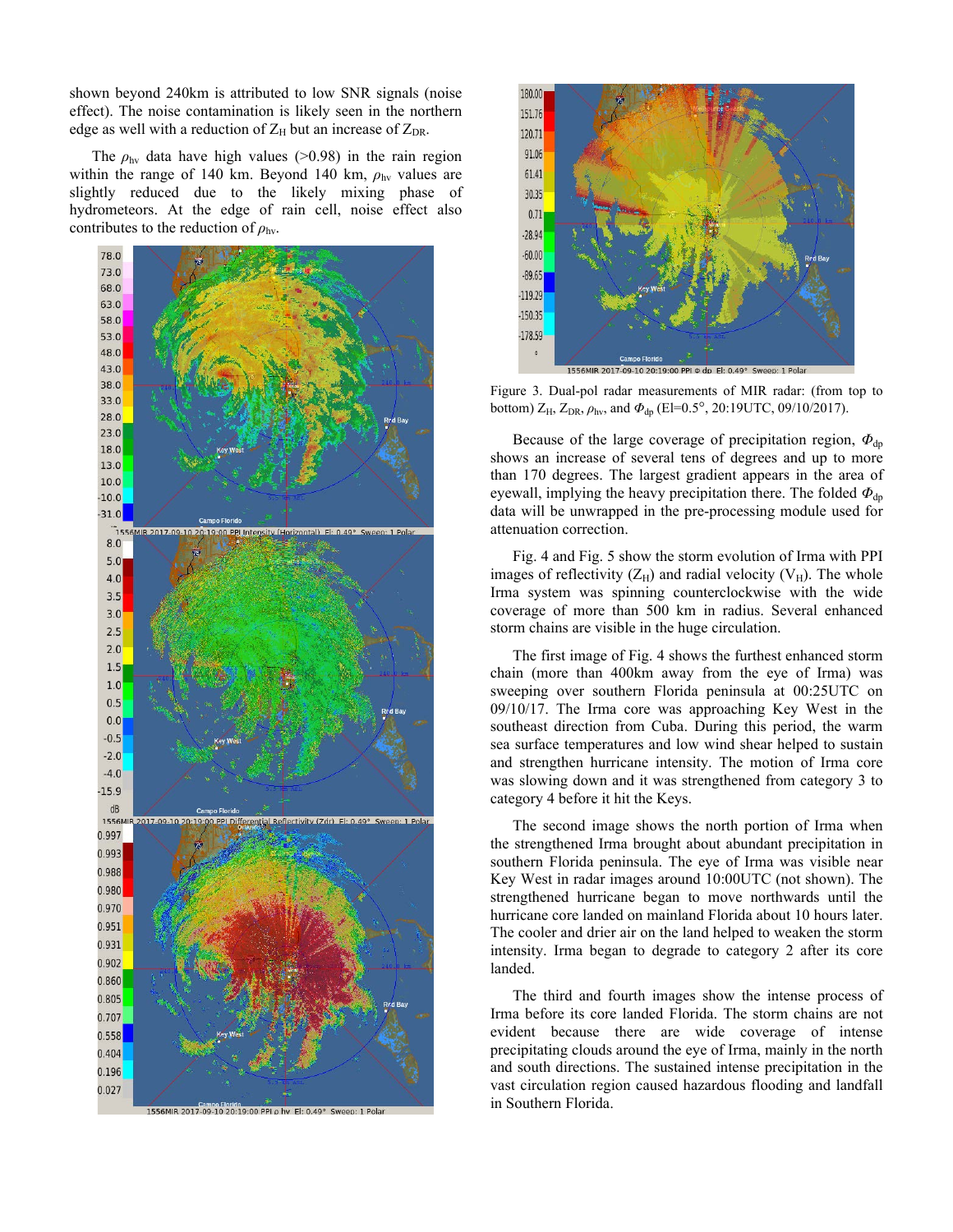shown beyond 240km is attributed to low SNR signals (noise effect). The noise contamination is likely seen in the northern edge as well with a reduction of  $Z_H$  but an increase of  $Z_{DR}$ .

The  $\rho_{\text{hv}}$  data have high values ( $>0.98$ ) in the rain region within the range of 140 km. Beyond 140 km,  $\rho_{hv}$  values are slightly reduced due to the likely mixing phase of hydrometeors. At the edge of rain cell, noise effect also contributes to the reduction of  $\rho_{\text{hv}}$ .





Figure 3. Dual-pol radar measurements of MIR radar: (from top to bottom) ZH, ZDR, *ρ*hv, and *Φ*dp (El=0.5°, 20:19UTC, 09/10/2017).

Because of the large coverage of precipitation region,  $\Phi_{\text{dn}}$ shows an increase of several tens of degrees and up to more than 170 degrees. The largest gradient appears in the area of eyewall, implying the heavy precipitation there. The folded  $\Phi_{dp}$ data will be unwrapped in the pre-processing module used for attenuation correction.

Fig. 4 and Fig. 5 show the storm evolution of Irma with PPI images of reflectivity  $(Z_H)$  and radial velocity  $(V_H)$ . The whole Irma system was spinning counterclockwise with the wide coverage of more than 500 km in radius. Several enhanced storm chains are visible in the huge circulation.

The first image of Fig. 4 shows the furthest enhanced storm chain (more than 400km away from the eye of Irma) was sweeping over southern Florida peninsula at 00:25UTC on 09/10/17. The Irma core was approaching Key West in the southeast direction from Cuba. During this period, the warm sea surface temperatures and low wind shear helped to sustain and strengthen hurricane intensity. The motion of Irma core was slowing down and it was strengthened from category 3 to category 4 before it hit the Keys.

The second image shows the north portion of Irma when the strengthened Irma brought about abundant precipitation in southern Florida peninsula. The eye of Irma was visible near Key West in radar images around 10:00UTC (not shown). The strengthened hurricane began to move northwards until the hurricane core landed on mainland Florida about 10 hours later. The cooler and drier air on the land helped to weaken the storm intensity. Irma began to degrade to category 2 after its core landed.

The third and fourth images show the intense process of Irma before its core landed Florida. The storm chains are not evident because there are wide coverage of intense precipitating clouds around the eye of Irma, mainly in the north and south directions. The sustained intense precipitation in the vast circulation region caused hazardous flooding and landfall in Southern Florida.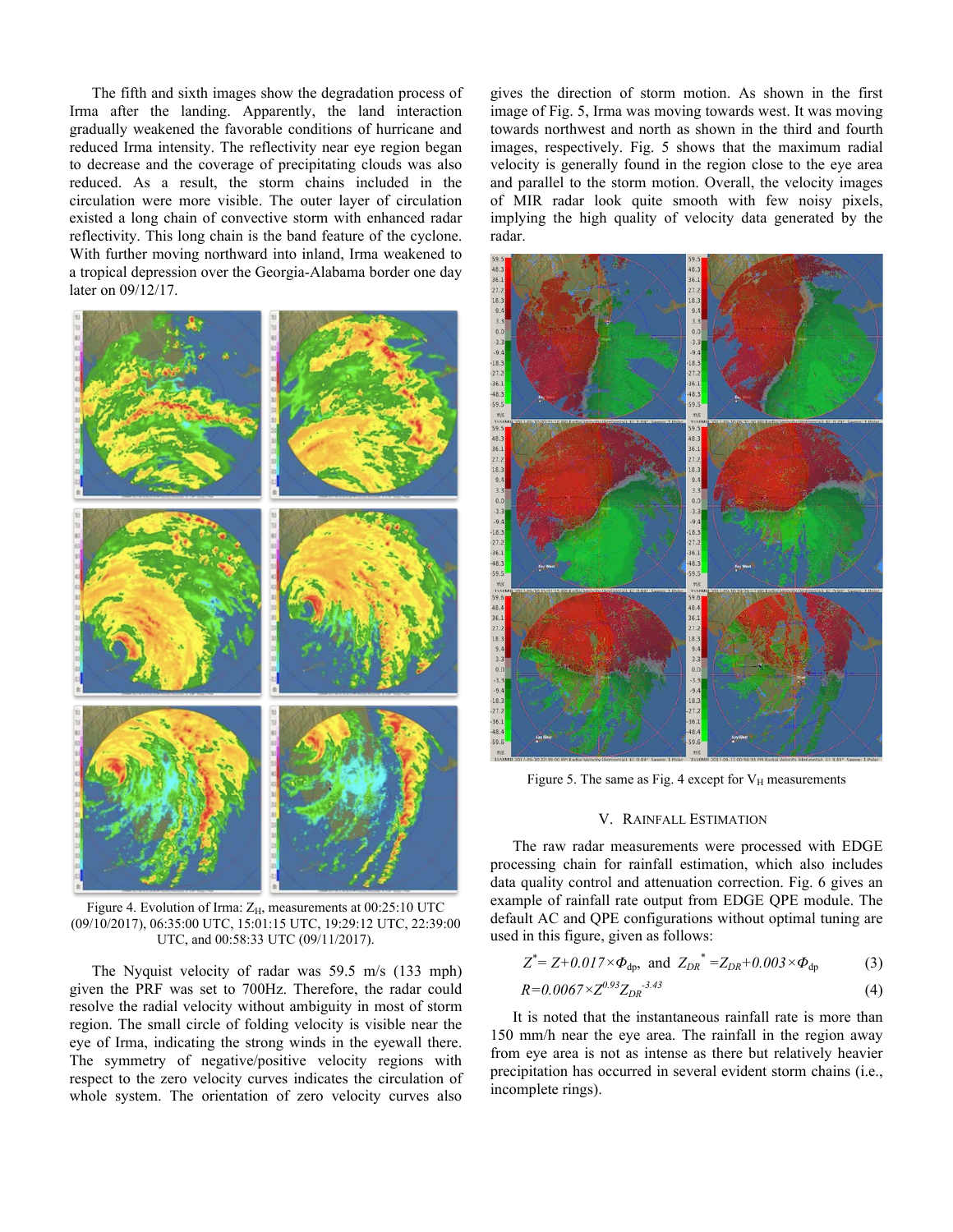The fifth and sixth images show the degradation process of Irma after the landing. Apparently, the land interaction gradually weakened the favorable conditions of hurricane and reduced Irma intensity. The reflectivity near eye region began to decrease and the coverage of precipitating clouds was also reduced. As a result, the storm chains included in the circulation were more visible. The outer layer of circulation existed a long chain of convective storm with enhanced radar reflectivity. This long chain is the band feature of the cyclone. With further moving northward into inland, Irma weakened to a tropical depression over the Georgia-Alabama border one day later on 09/12/17.



Figure 4. Evolution of Irma:  $Z_H$ , measurements at 00:25:10 UTC (09/10/2017), 06:35:00 UTC, 15:01:15 UTC, 19:29:12 UTC, 22:39:00 UTC, and 00:58:33 UTC (09/11/2017).

The Nyquist velocity of radar was 59.5 m/s (133 mph) given the PRF was set to 700Hz. Therefore, the radar could resolve the radial velocity without ambiguity in most of storm region. The small circle of folding velocity is visible near the eye of Irma, indicating the strong winds in the eyewall there. The symmetry of negative/positive velocity regions with respect to the zero velocity curves indicates the circulation of whole system. The orientation of zero velocity curves also

gives the direction of storm motion. As shown in the first image of Fig. 5, Irma was moving towards west. It was moving towards northwest and north as shown in the third and fourth images, respectively. Fig. 5 shows that the maximum radial velocity is generally found in the region close to the eye area and parallel to the storm motion. Overall, the velocity images of MIR radar look quite smooth with few noisy pixels, implying the high quality of velocity data generated by the radar.



Figure 5. The same as Fig. 4 except for  $V_H$  measurements

#### V. RAINFALL ESTIMATION

The raw radar measurements were processed with EDGE processing chain for rainfall estimation, which also includes data quality control and attenuation correction. Fig. 6 gives an example of rainfall rate output from EDGE QPE module. The default AC and QPE configurations without optimal tuning are used in this figure, given as follows:

$$
Z^* = Z + 0.017 \times \Phi_{dp}
$$
, and  $Z_{DR}^* = Z_{DR} + 0.003 \times \Phi_{dp}$  (3)

$$
R=0.0067\times Z^{0.93}Z_{DR}^{-3.43}
$$
 (4)

It is noted that the instantaneous rainfall rate is more than 150 mm/h near the eye area. The rainfall in the region away from eye area is not as intense as there but relatively heavier precipitation has occurred in several evident storm chains (i.e., incomplete rings).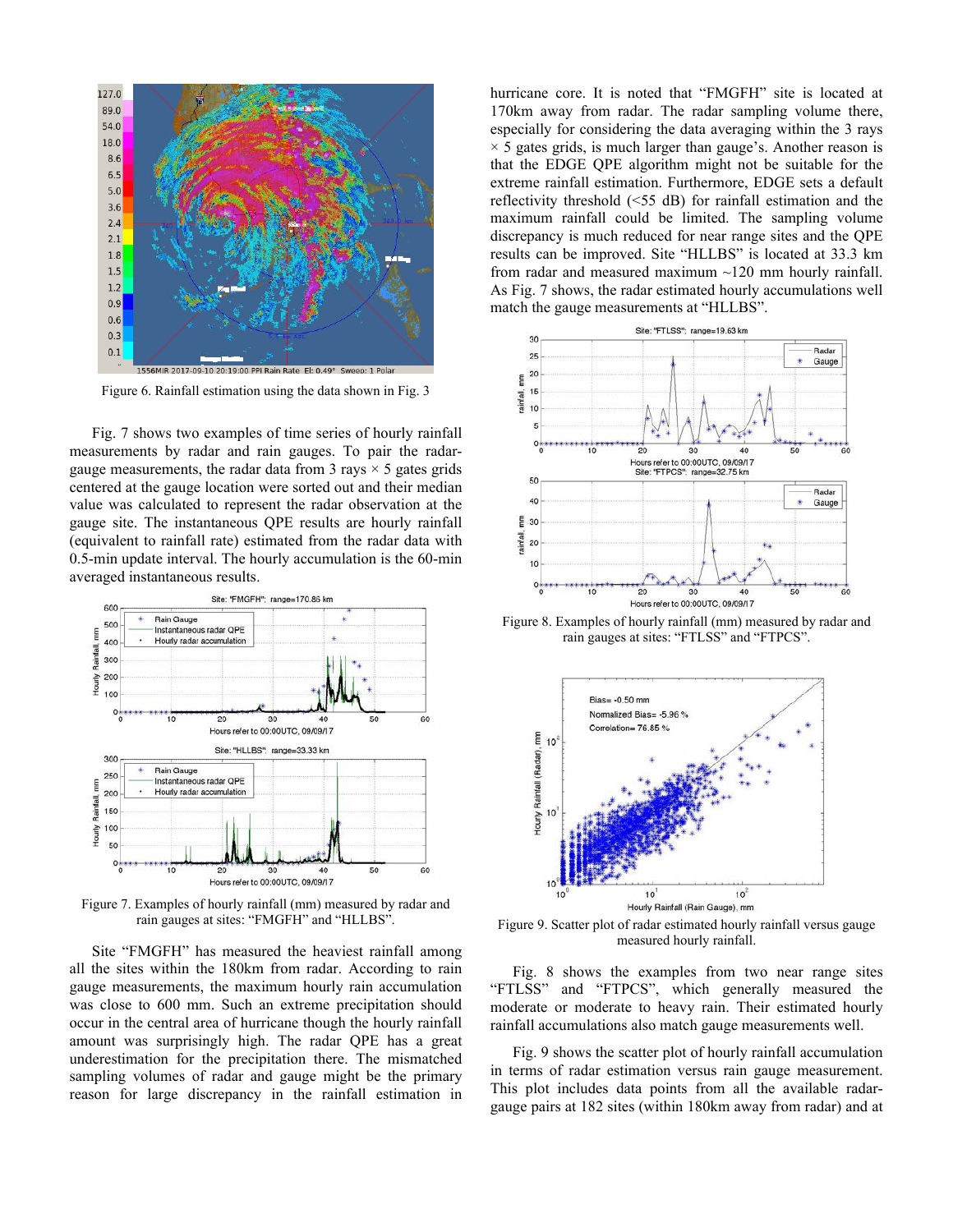

Figure 6. Rainfall estimation using the data shown in Fig. 3

Fig. 7 shows two examples of time series of hourly rainfall measurements by radar and rain gauges. To pair the radargauge measurements, the radar data from 3 rays  $\times$  5 gates grids centered at the gauge location were sorted out and their median value was calculated to represent the radar observation at the gauge site. The instantaneous QPE results are hourly rainfall (equivalent to rainfall rate) estimated from the radar data with 0.5-min update interval. The hourly accumulation is the 60-min averaged instantaneous results.



Figure 7. Examples of hourly rainfall (mm) measured by radar and rain gauges at sites: "FMGFH" and "HLLBS".

Site "FMGFH" has measured the heaviest rainfall among all the sites within the 180km from radar. According to rain gauge measurements, the maximum hourly rain accumulation was close to 600 mm. Such an extreme precipitation should occur in the central area of hurricane though the hourly rainfall amount was surprisingly high. The radar QPE has a great underestimation for the precipitation there. The mismatched sampling volumes of radar and gauge might be the primary reason for large discrepancy in the rainfall estimation in hurricane core. It is noted that "FMGFH" site is located at 170km away from radar. The radar sampling volume there, especially for considering the data averaging within the 3 rays  $\times$  5 gates grids, is much larger than gauge's. Another reason is that the EDGE QPE algorithm might not be suitable for the extreme rainfall estimation. Furthermore, EDGE sets a default reflectivity threshold (<55 dB) for rainfall estimation and the maximum rainfall could be limited. The sampling volume discrepancy is much reduced for near range sites and the QPE results can be improved. Site "HLLBS" is located at 33.3 km from radar and measured maximum ~120 mm hourly rainfall. As Fig. 7 shows, the radar estimated hourly accumulations well match the gauge measurements at "HLLBS".



Figure 8. Examples of hourly rainfall (mm) measured by radar and rain gauges at sites: "FTLSS" and "FTPCS".



Figure 9. Scatter plot of radar estimated hourly rainfall versus gauge measured hourly rainfall.

Fig. 8 shows the examples from two near range sites "FTLSS" and "FTPCS", which generally measured the moderate or moderate to heavy rain. Their estimated hourly rainfall accumulations also match gauge measurements well.

Fig. 9 shows the scatter plot of hourly rainfall accumulation in terms of radar estimation versus rain gauge measurement. This plot includes data points from all the available radargauge pairs at 182 sites (within 180km away from radar) and at